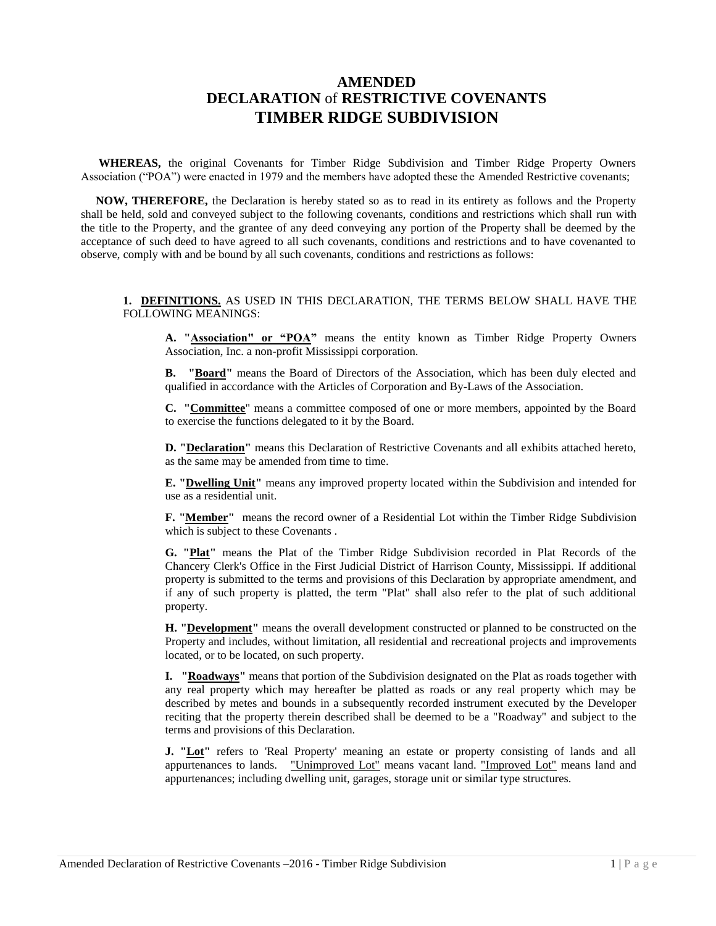# **AMENDED DECLARATION** of **RESTRICTIVE COVENANTS TIMBER RIDGE SUBDIVISION**

 **WHEREAS,** the original Covenants for Timber Ridge Subdivision and Timber Ridge Property Owners Association ("POA") were enacted in 1979 and the members have adopted these the Amended Restrictive covenants;

 **NOW, THEREFORE,** the Declaration is hereby stated so as to read in its entirety as follows and the Property shall be held, sold and conveyed subject to the following covenants, conditions and restrictions which shall run with the title to the Property, and the grantee of any deed conveying any portion of the Property shall be deemed by the acceptance of such deed to have agreed to all such covenants, conditions and restrictions and to have covenanted to observe, comply with and be bound by all such covenants, conditions and restrictions as follows:

**1. DEFINITIONS.** AS USED IN THIS DECLARATION, THE TERMS BELOW SHALL HAVE THE FOLLOWING MEANINGS:

**A. "Association" or "POA"** means the entity known as Timber Ridge Property Owners Association, Inc. a non-profit Mississippi corporation.

**B. "Board"** means the Board of Directors of the Association, which has been duly elected and qualified in accordance with the Articles of Corporation and By-Laws of the Association.

**C. "Committee**" means a committee composed of one or more members, appointed by the Board to exercise the functions delegated to it by the Board.

**D. "Declaration"** means this Declaration of Restrictive Covenants and all exhibits attached hereto, as the same may be amended from time to time.

**E. "Dwelling Unit"** means any improved property located within the Subdivision and intended for use as a residential unit.

**F. "Member"** means the record owner of a Residential Lot within the Timber Ridge Subdivision which is subject to these Covenants .

**G. "Plat"** means the Plat of the Timber Ridge Subdivision recorded in Plat Records of the Chancery Clerk's Office in the First Judicial District of Harrison County, Mississippi. If additional property is submitted to the terms and provisions of this Declaration by appropriate amendment, and if any of such property is platted, the term "Plat" shall also refer to the plat of such additional property.

**H. "Development"** means the overall development constructed or planned to be constructed on the Property and includes, without limitation, all residential and recreational projects and improvements located, or to be located, on such property.

**I. "Roadways"** means that portion of the Subdivision designated on the Plat as roads together with any real property which may hereafter be platted as roads or any real property which may be described by metes and bounds in a subsequently recorded instrument executed by the Developer reciting that the property therein described shall be deemed to be a "Roadway" and subject to the terms and provisions of this Declaration.

**J.** "Lot" refers to 'Real Property' meaning an estate or property consisting of lands and all appurtenances to lands. "Unimproved Lot" means vacant land. "Improved Lot" means land and appurtenances; including dwelling unit, garages, storage unit or similar type structures.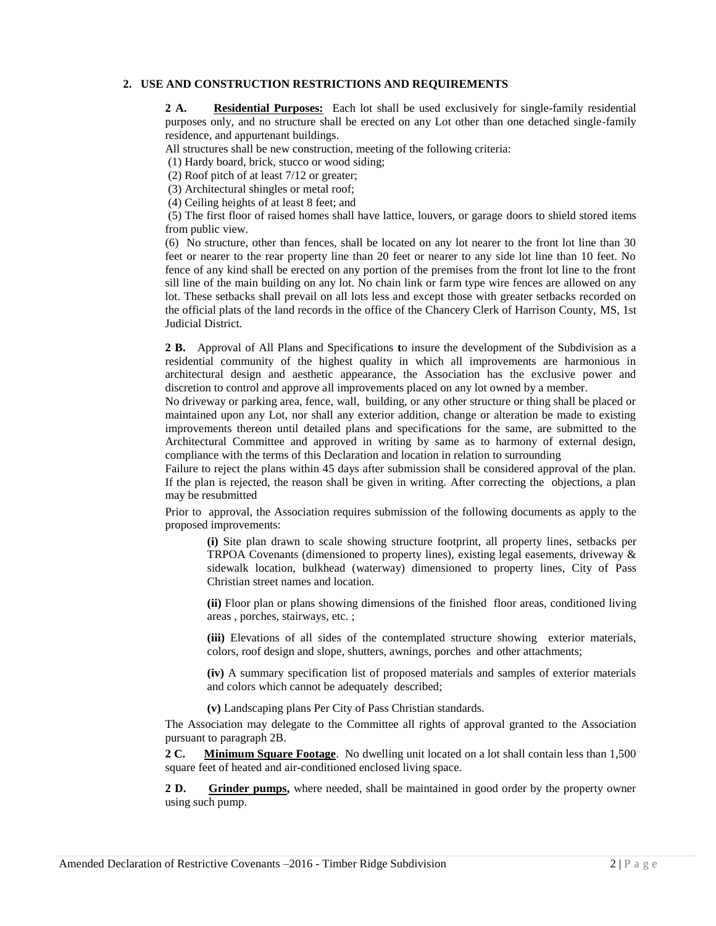#### **2. USE AND CONSTRUCTION RESTRICTIONS AND REQUIREMENTS**

**2 A. Residential Purposes:** Each lot shall be used exclusively for single-family residential purposes only, and no structure shall be erected on any Lot other than one detached single-family residence, and appurtenant buildings.

All structures shall be new construction, meeting of the following criteria:

(1) Hardy board, brick, stucco or wood siding;

(2) Roof pitch of at least 7/12 or greater;

(3) Architectural shingles or metal roof;

(4) Ceiling heights of at least 8 feet; and

(5) The first floor of raised homes shall have lattice, louvers, or garage doors to shield stored items from public view.

(6) No structure, other than fences, shall be located on any lot nearer to the front lot line than 30 feet or nearer to the rear property line than 20 feet or nearer to any side lot line than 10 feet. No fence of any kind shall be erected on any portion of the premises from the front lot line to the front sill line of the main building on any lot. No chain link or farm type wire fences are allowed on any lot. These setbacks shall prevail on all lots less and except those with greater setbacks recorded on the official plats of the land records in the office of the Chancery Clerk of Harrison County, MS, 1st Judicial District.

**2 B.** Approval of All Plans and Specifications **t**o insure the development of the Subdivision as a residential community of the highest quality in which all improvements are harmonious in architectural design and aesthetic appearance, the Association has the exclusive power and discretion to control and approve all improvements placed on any lot owned by a member.

No driveway or parking area, fence, wall, building, or any other structure or thing shall be placed or maintained upon any Lot, nor shall any exterior addition, change or alteration be made to existing improvements thereon until detailed plans and specifications for the same, are submitted to the Architectural Committee and approved in writing by same as to harmony of external design, compliance with the terms of this Declaration and location in relation to surrounding

Failure to reject the plans within 45 days after submission shall be considered approval of the plan. If the plan is rejected, the reason shall be given in writing. After correcting the objections, a plan may be resubmitted

Prior to approval, the Association requires submission of the following documents as apply to the proposed improvements:

**(i)** Site plan drawn to scale showing structure footprint, all property lines, setbacks per TRPOA Covenants (dimensioned to property lines), existing legal easements, driveway & sidewalk location, bulkhead (waterway) dimensioned to property lines, City of Pass Christian street names and location.

**(ii)** Floor plan or plans showing dimensions of the finished floor areas, conditioned living areas , porches, stairways, etc. ;

**(iii)** Elevations of all sides of the contemplated structure showing exterior materials, colors, roof design and slope, shutters, awnings, porches and other attachments;

**(iv)** A summary specification list of proposed materials and samples of exterior materials and colors which cannot be adequately described;

**(v)** Landscaping plans Per City of Pass Christian standards.

The Association may delegate to the Committee all rights of approval granted to the Association pursuant to paragraph 2B.

**2 C. Minimum Square Footage**. No dwelling unit located on a lot shall contain less than 1,500 square feet of heated and air-conditioned enclosed living space.

**2 D.** Grinder pumps, where needed, shall be maintained in good order by the property owner using such pump.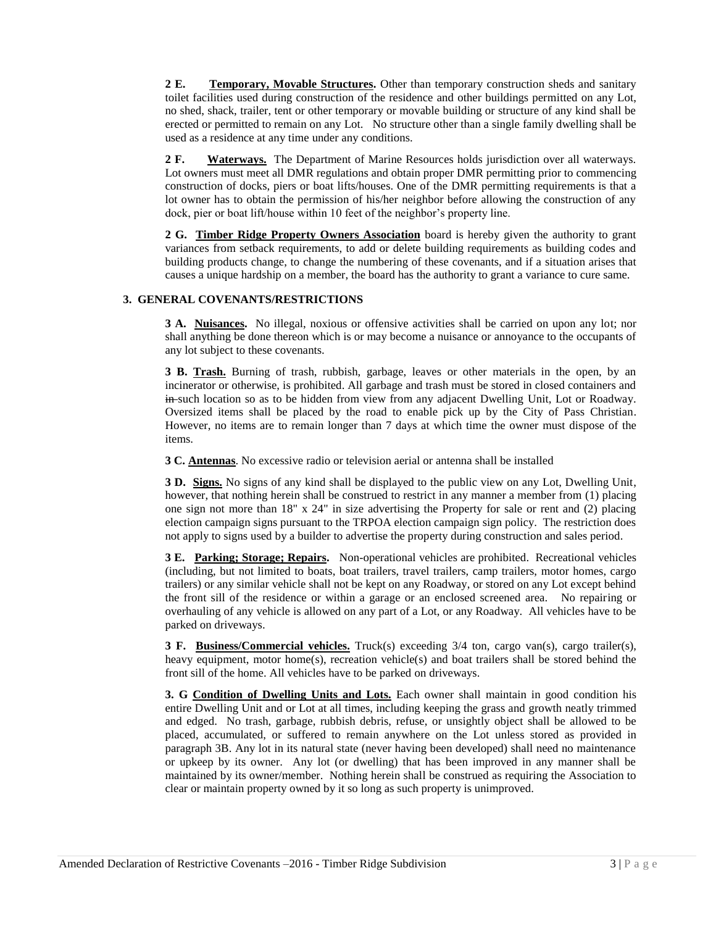**2 E. Temporary, Movable Structures.** Other than temporary construction sheds and sanitary toilet facilities used during construction of the residence and other buildings permitted on any Lot, no shed, shack, trailer, tent or other temporary or movable building or structure of any kind shall be erected or permitted to remain on any Lot. No structure other than a single family dwelling shall be used as a residence at any time under any conditions.

**2 F. Waterways.** The Department of Marine Resources holds jurisdiction over all waterways. Lot owners must meet all DMR regulations and obtain proper DMR permitting prior to commencing construction of docks, piers or boat lifts/houses. One of the DMR permitting requirements is that a lot owner has to obtain the permission of his/her neighbor before allowing the construction of any dock, pier or boat lift/house within 10 feet of the neighbor's property line.

**2 G. Timber Ridge Property Owners Association** board is hereby given the authority to grant variances from setback requirements, to add or delete building requirements as building codes and building products change, to change the numbering of these covenants, and if a situation arises that causes a unique hardship on a member, the board has the authority to grant a variance to cure same.

### **3. GENERAL COVENANTS/RESTRICTIONS**

**3 A. Nuisances.** No illegal, noxious or offensive activities shall be carried on upon any lot; nor shall anything be done thereon which is or may become a nuisance or annoyance to the occupants of any lot subject to these covenants.

**3 B. Trash.** Burning of trash, rubbish, garbage, leaves or other materials in the open, by an incinerator or otherwise, is prohibited. All garbage and trash must be stored in closed containers and in such location so as to be hidden from view from any adjacent Dwelling Unit, Lot or Roadway. Oversized items shall be placed by the road to enable pick up by the City of Pass Christian. However, no items are to remain longer than 7 days at which time the owner must dispose of the items.

**3 C. Antennas**. No excessive radio or television aerial or antenna shall be installed

**3 D. Signs.** No signs of any kind shall be displayed to the public view on any Lot, Dwelling Unit, however, that nothing herein shall be construed to restrict in any manner a member from (1) placing one sign not more than 18" x 24" in size advertising the Property for sale or rent and (2) placing election campaign signs pursuant to the TRPOA election campaign sign policy. The restriction does not apply to signs used by a builder to advertise the property during construction and sales period.

**3 E. Parking; Storage; Repairs.** Non-operational vehicles are prohibited. Recreational vehicles (including, but not limited to boats, boat trailers, travel trailers, camp trailers, motor homes, cargo trailers) or any similar vehicle shall not be kept on any Roadway, or stored on any Lot except behind the front sill of the residence or within a garage or an enclosed screened area. No repairing or overhauling of any vehicle is allowed on any part of a Lot, or any Roadway. All vehicles have to be parked on driveways.

**3 F. Business/Commercial vehicles.** Truck(s) exceeding 3/4 ton, cargo van(s), cargo trailer(s), heavy equipment, motor home(s), recreation vehicle(s) and boat trailers shall be stored behind the front sill of the home. All vehicles have to be parked on driveways.

**3. G Condition of Dwelling Units and Lots.** Each owner shall maintain in good condition his entire Dwelling Unit and or Lot at all times, including keeping the grass and growth neatly trimmed and edged. No trash, garbage, rubbish debris, refuse, or unsightly object shall be allowed to be placed, accumulated, or suffered to remain anywhere on the Lot unless stored as provided in paragraph 3B. Any lot in its natural state (never having been developed) shall need no maintenance or upkeep by its owner. Any lot (or dwelling) that has been improved in any manner shall be maintained by its owner/member. Nothing herein shall be construed as requiring the Association to clear or maintain property owned by it so long as such property is unimproved.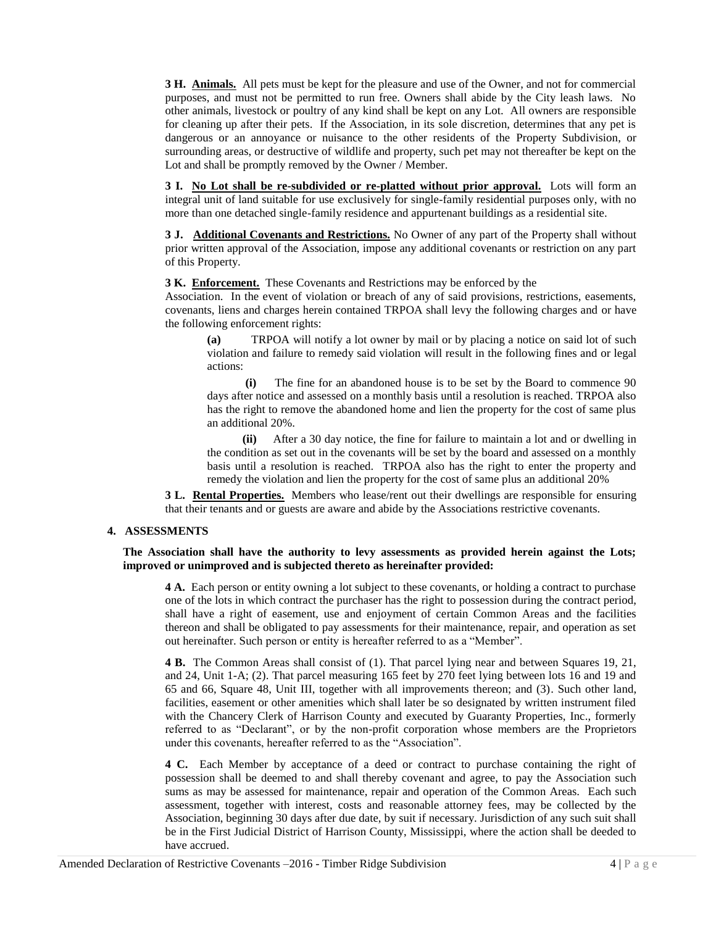**3 H. Animals.** All pets must be kept for the pleasure and use of the Owner, and not for commercial purposes, and must not be permitted to run free. Owners shall abide by the City leash laws. No other animals, livestock or poultry of any kind shall be kept on any Lot. All owners are responsible for cleaning up after their pets. If the Association, in its sole discretion, determines that any pet is dangerous or an annoyance or nuisance to the other residents of the Property Subdivision, or surrounding areas, or destructive of wildlife and property, such pet may not thereafter be kept on the Lot and shall be promptly removed by the Owner / Member.

**3 I. No Lot shall be re-subdivided or re-platted without prior approval.** Lots will form an integral unit of land suitable for use exclusively for single-family residential purposes only, with no more than one detached single-family residence and appurtenant buildings as a residential site.

**3 J. Additional Covenants and Restrictions.** No Owner of any part of the Property shall without prior written approval of the Association, impose any additional covenants or restriction on any part of this Property.

**3 K. Enforcement.** These Covenants and Restrictions may be enforced by the

Association. In the event of violation or breach of any of said provisions, restrictions, easements, covenants, liens and charges herein contained TRPOA shall levy the following charges and or have the following enforcement rights:

**(a)** TRPOA will notify a lot owner by mail or by placing a notice on said lot of such violation and failure to remedy said violation will result in the following fines and or legal actions:

 **(i)** The fine for an abandoned house is to be set by the Board to commence 90 days after notice and assessed on a monthly basis until a resolution is reached. TRPOA also has the right to remove the abandoned home and lien the property for the cost of same plus an additional 20%.

 **(ii)** After a 30 day notice, the fine for failure to maintain a lot and or dwelling in the condition as set out in the covenants will be set by the board and assessed on a monthly basis until a resolution is reached. TRPOA also has the right to enter the property and remedy the violation and lien the property for the cost of same plus an additional 20%

**3 L. Rental Properties.** Members who lease/rent out their dwellings are responsible for ensuring that their tenants and or guests are aware and abide by the Associations restrictive covenants.

#### **4. ASSESSMENTS**

#### **The Association shall have the authority to levy assessments as provided herein against the Lots; improved or unimproved and is subjected thereto as hereinafter provided:**

**4 A.** Each person or entity owning a lot subject to these covenants, or holding a contract to purchase one of the lots in which contract the purchaser has the right to possession during the contract period, shall have a right of easement, use and enjoyment of certain Common Areas and the facilities thereon and shall be obligated to pay assessments for their maintenance, repair, and operation as set out hereinafter. Such person or entity is hereafter referred to as a "Member".

**4 B.** The Common Areas shall consist of (1). That parcel lying near and between Squares 19, 21, and 24, Unit 1-A; (2). That parcel measuring 165 feet by 270 feet lying between lots 16 and 19 and 65 and 66, Square 48, Unit III, together with all improvements thereon; and (3). Such other land, facilities, easement or other amenities which shall later be so designated by written instrument filed with the Chancery Clerk of Harrison County and executed by Guaranty Properties, Inc., formerly referred to as "Declarant", or by the non-profit corporation whose members are the Proprietors under this covenants, hereafter referred to as the "Association".

**4 C.** Each Member by acceptance of a deed or contract to purchase containing the right of possession shall be deemed to and shall thereby covenant and agree, to pay the Association such sums as may be assessed for maintenance, repair and operation of the Common Areas. Each such assessment, together with interest, costs and reasonable attorney fees, may be collected by the Association, beginning 30 days after due date, by suit if necessary. Jurisdiction of any such suit shall be in the First Judicial District of Harrison County, Mississippi, where the action shall be deeded to have accrued.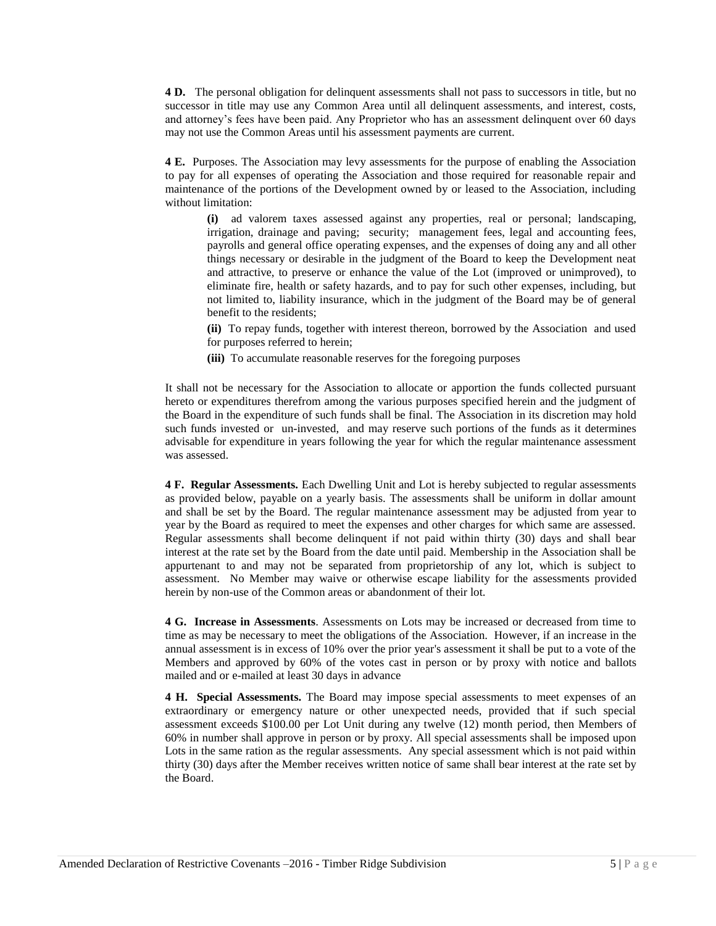**4 D.** The personal obligation for delinquent assessments shall not pass to successors in title, but no successor in title may use any Common Area until all delinquent assessments, and interest, costs, and attorney's fees have been paid. Any Proprietor who has an assessment delinquent over 60 days may not use the Common Areas until his assessment payments are current.

**4 E.** Purposes. The Association may levy assessments for the purpose of enabling the Association to pay for all expenses of operating the Association and those required for reasonable repair and maintenance of the portions of the Development owned by or leased to the Association, including without limitation:

**(i)** ad valorem taxes assessed against any properties, real or personal; landscaping, irrigation, drainage and paving; security; management fees, legal and accounting fees, payrolls and general office operating expenses, and the expenses of doing any and all other things necessary or desirable in the judgment of the Board to keep the Development neat and attractive, to preserve or enhance the value of the Lot (improved or unimproved), to eliminate fire, health or safety hazards, and to pay for such other expenses, including, but not limited to, liability insurance, which in the judgment of the Board may be of general benefit to the residents;

**(ii)** To repay funds, together with interest thereon, borrowed by the Association and used for purposes referred to herein;

**(iii)** To accumulate reasonable reserves for the foregoing purposes

It shall not be necessary for the Association to allocate or apportion the funds collected pursuant hereto or expenditures therefrom among the various purposes specified herein and the judgment of the Board in the expenditure of such funds shall be final. The Association in its discretion may hold such funds invested or un-invested, and may reserve such portions of the funds as it determines advisable for expenditure in years following the year for which the regular maintenance assessment was assessed.

**4 F. Regular Assessments.** Each Dwelling Unit and Lot is hereby subjected to regular assessments as provided below, payable on a yearly basis. The assessments shall be uniform in dollar amount and shall be set by the Board. The regular maintenance assessment may be adjusted from year to year by the Board as required to meet the expenses and other charges for which same are assessed. Regular assessments shall become delinquent if not paid within thirty (30) days and shall bear interest at the rate set by the Board from the date until paid. Membership in the Association shall be appurtenant to and may not be separated from proprietorship of any lot, which is subject to assessment. No Member may waive or otherwise escape liability for the assessments provided herein by non-use of the Common areas or abandonment of their lot.

**4 G. Increase in Assessments**. Assessments on Lots may be increased or decreased from time to time as may be necessary to meet the obligations of the Association. However, if an increase in the annual assessment is in excess of 10% over the prior year's assessment it shall be put to a vote of the Members and approved by 60% of the votes cast in person or by proxy with notice and ballots mailed and or e-mailed at least 30 days in advance

**4 H. Special Assessments.** The Board may impose special assessments to meet expenses of an extraordinary or emergency nature or other unexpected needs, provided that if such special assessment exceeds \$100.00 per Lot Unit during any twelve (12) month period, then Members of 60% in number shall approve in person or by proxy. All special assessments shall be imposed upon Lots in the same ration as the regular assessments. Any special assessment which is not paid within thirty (30) days after the Member receives written notice of same shall bear interest at the rate set by the Board.